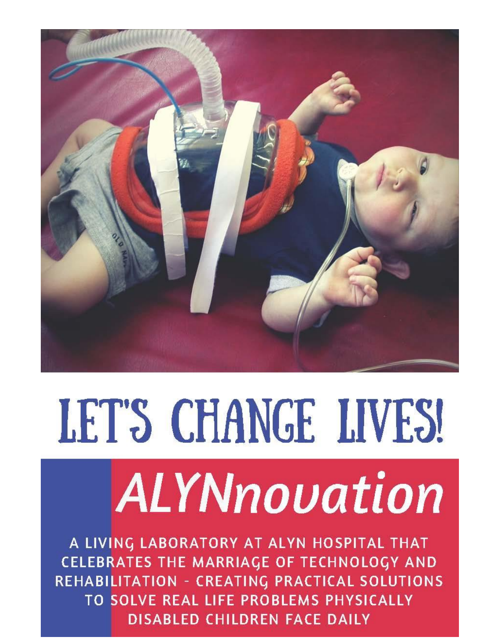

# LET'S CHANGE LIVES! ALYNnovation

A LIVING LABORATORY AT ALYN HOSPITAL THAT CELEBRATES THE MARRIAGE OF TECHNOLOGY AND REHABILITATION - CREATING PRACTICAL SOLUTIONS TO SOLVE REAL LIFE PROBLEMS PHYSICALLY **DISABLED CHILDREN FACE DAILY**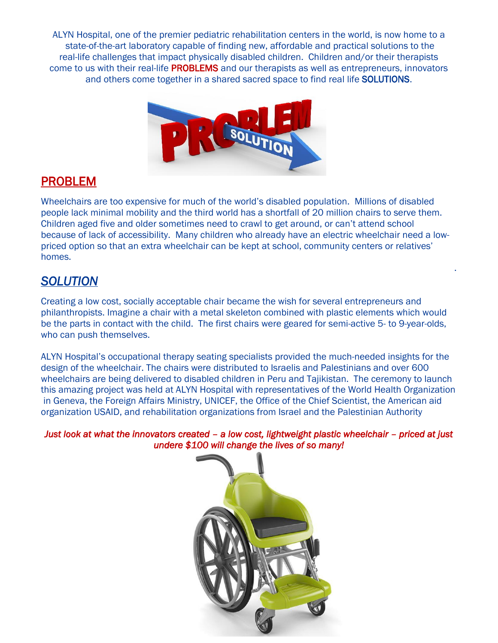ALYN Hospital, one of the premier pediatric rehabilitation centers in the world, is now home to a state-of-the-art laboratory capable of finding new, affordable and practical solutions to the real-life challenges that impact physically disabled children. Children and/or their therapists come to us with their real-life **PROBLEMS** and our therapists as well as entrepreneurs, innovators and others come together in a shared sacred space to find real life SOLUTIONS.



# PROBLEM

Wheelchairs are too expensive for much of the world's disabled population. Millions of disabled people lack minimal mobility and the third world has a shortfall of 20 million chairs to serve them. Children aged five and older sometimes need to crawl to get around, or can't attend school because of lack of accessibility. Many children who already have an electric wheelchair need a lowpriced option so that an extra wheelchair can be kept at school, community centers or relatives' homes.

.

### *SOLUTION*

Creating a low cost, socially acceptable chair became the wish for several entrepreneurs and philanthropists. Imagine a chair with a metal skeleton combined with plastic elements which would be the parts in contact with the child. The first chairs were geared for semi-active 5- to 9-year-olds, who can push themselves.

ALYN Hospital's occupational therapy seating specialists provided the much-needed insights for the design of the wheelchair. The chairs were distributed to Israelis and Palestinians and over 600 wheelchairs are being delivered to disabled children in Peru and Tajikistan. The ceremony to launch this amazing project was held at ALYN Hospital with representatives of the World Health Organization in Geneva, the Foreign Affairs Ministry, UNICEF, the Office of the Chief Scientist, the American aid organization USAID, and rehabilitation organizations from Israel and the Palestinian Authority

*Just look at what the innovators created – a low cost, lightweight plastic wheelchair – priced at just undere \$100 will change the lives of so many!* 

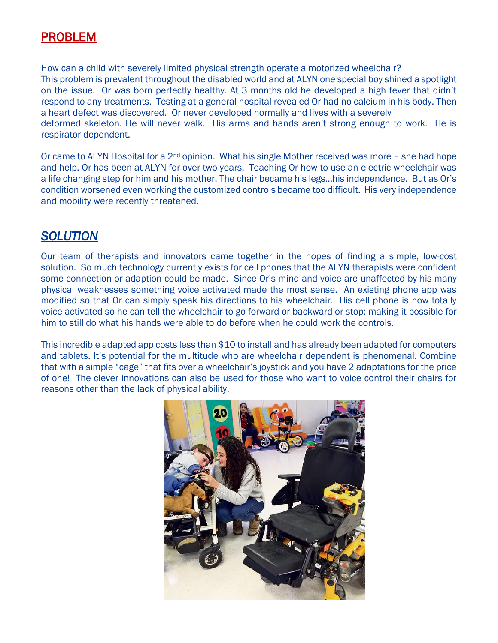# PROBLEM

How can a child with severely limited physical strength operate a motorized wheelchair? This problem is prevalent throughout the disabled world and at ALYN one special boy shined a spotlight on the issue. Or was born perfectly healthy. At 3 months old he developed a high fever that didn't respond to any treatments. Testing at a general hospital revealed Or had no calcium in his body. Then a heart defect was discovered. Or never developed normally and lives with a severely deformed skeleton. He will never walk. His arms and hands aren't strong enough to work. He is respirator dependent.

Or came to ALYN Hospital for a 2<sup>nd</sup> opinion. What his single Mother received was more – she had hope and help. Or has been at ALYN for over two years. Teaching Or how to use an electric wheelchair was a life changing step for him and his mother. The chair became his legs…his independence. But as Or's condition worsened even working the customized controls became too difficult. His very independence and mobility were recently threatened.

#### *SOLUTION*

Our team of therapists and innovators came together in the hopes of finding a simple, low-cost solution. So much technology currently exists for cell phones that the ALYN therapists were confident some connection or adaption could be made. Since Or's mind and voice are unaffected by his many physical weaknesses something voice activated made the most sense. An existing phone app was modified so that Or can simply speak his directions to his wheelchair. His cell phone is now totally voice-activated so he can tell the wheelchair to go forward or backward or stop; making it possible for him to still do what his hands were able to do before when he could work the controls.

This incredible adapted app costs less than \$10 to install and has already been adapted for computers and tablets. It's potential for the multitude who are wheelchair dependent is phenomenal. Combine that with a simple "cage" that fits over a wheelchair's joystick and you have 2 adaptations for the price of one! The clever innovations can also be used for those who want to voice control their chairs for reasons other than the lack of physical ability.

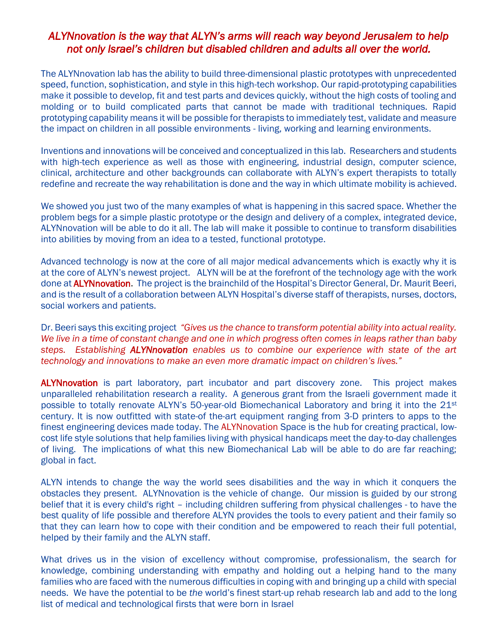#### *ALYNnovation is the way that ALYN's arms will reach way beyond Jerusalem to help not only Israel's children but disabled children and adults all over the world.*

The ALYNnovation lab has the ability to build three-dimensional plastic prototypes with unprecedented speed, function, sophistication, and style in this high-tech workshop. Our rapid-prototyping capabilities make it possible to develop, fit and test parts and devices quickly, without the high costs of tooling and molding or to build complicated parts that cannot be made with traditional techniques. Rapid prototyping capability means it will be possible for therapists to immediately test, validate and measure the impact on children in all possible environments - living, working and learning environments.

Inventions and innovations will be conceived and conceptualized in this lab. Researchers and students with high-tech experience as well as those with engineering, industrial design, computer science, clinical, architecture and other backgrounds can collaborate with ALYN's expert therapists to totally redefine and recreate the way rehabilitation is done and the way in which ultimate mobility is achieved.

We showed you just two of the many examples of what is happening in this sacred space. Whether the problem begs for a simple plastic prototype or the design and delivery of a complex, integrated device, ALYNnovation will be able to do it all. The lab will make it possible to continue to transform disabilities into abilities by moving from an idea to a tested, functional prototype.

Advanced technology is now at the core of all major medical advancements which is exactly why it is at the core of ALYN's newest project. ALYN will be at the forefront of the technology age with the work done at **ALYNnovation.** The project is the brainchild of the Hospital's Director General, Dr. Maurit Beeri, and is the result of a collaboration between ALYN Hospital's diverse staff of therapists, nurses, doctors, social workers and patients.

Dr. Beeri says this exciting project *"Gives us the chance to transform potential ability into actual reality. We live in a time of constant change and one in which progress often comes in leaps rather than baby steps. Establishing ALYNnovation enables us to combine our experience with state of the art technology and innovations to make an even more dramatic impact on children's lives."*

**ALYNnovation** is part laboratory, part incubator and part discovery zone. This project makes unparalleled rehabilitation research a reality. A generous grant from the Israeli government made it possible to totally renovate ALYN's 50-year-old Biomechanical Laboratory and bring it into the 21st century. It is now outfitted with state-of the-art equipment ranging from 3-D printers to apps to the finest engineering devices made today. The ALYNnovation Space is the hub for creating practical, lowcost life style solutions that help families living with physical handicaps meet the day-to-day challenges of living. The implications of what this new Biomechanical Lab will be able to do are far reaching; global in fact.

ALYN intends to change the way the world sees disabilities and the way in which it conquers the obstacles they present. ALYNnovation is the vehicle of change. Our mission is guided by our strong belief that it is every child's right – including children suffering from physical challenges - to have the best quality of life possible and therefore ALYN provides the tools to every patient and their family so that they can learn how to cope with their condition and be empowered to reach their full potential, helped by their family and the ALYN staff.

What drives us in the vision of excellency without compromise, professionalism, the search for knowledge, combining understanding with empathy and holding out a helping hand to the many families who are faced with the numerous difficulties in coping with and bringing up a child with special needs. We have the potential to be *the* world's finest start-up rehab research lab and add to the long list of medical and technological firsts that were born in Israel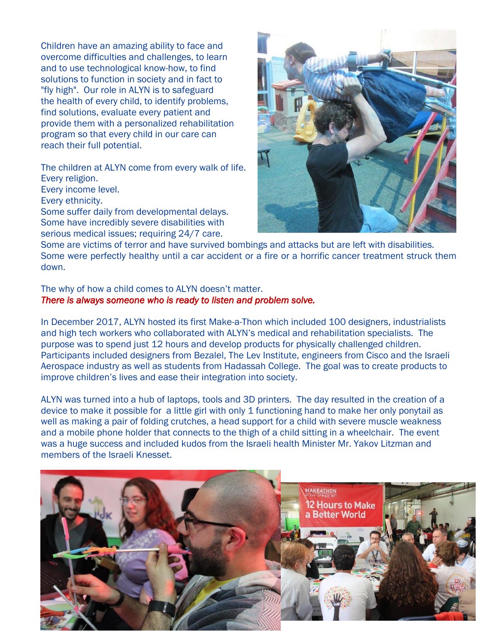Children have an amazing ability to face and overcome difficulties and challenges, to learn and to use technological know-how, to find solutions to function in society and in fact to "fly high". Our role in ALYN is to safeguard the health of every child, to identify problems, find solutions, evaluate every patient and provide them with a personalized rehabilitation program so that every child in our care can reach their full potential.

The children at ALYN come from every walk of life. Every religion.

Every income level.

Every ethnicity.

Some suffer daily from developmental delays. Some have incredibly severe disabilities with serious medical issues; requiring 24/7 care.



Some are victims of terror and have survived bombings and attacks but are left with disabilities. Some were perfectly healthy until a car accident or a fire or a horrific cancer treatment struck them down.

#### The why of how a child comes to ALYN doesn't matter. *There is always someone who is ready to listen and problem solve.*

In December 2017, ALYN hosted its first Make-a-Thon which included 100 designers, industrialists and high tech workers who collaborated with ALYN's medical and rehabilitation specialists. The purpose was to spend just 12 hours and develop products for physically challenged children. Participants included designers from Bezalel, The Lev Institute, engineers from Cisco and the Israeli Aerospace industry as well as students from Hadassah College. The goal was to create products to improve children's lives and ease their integration into society.

ALYN was turned into a hub of laptops, tools and 3D printers. The day resulted in the creation of a device to make it possible for a little girl with only 1 functioning hand to make her only ponytail as well as making a pair of folding crutches, a head support for a child with severe muscle weakness and a mobile phone holder that connects to the thigh of a child sitting in a wheelchair. The event was a huge success and included kudos from the Israeli health Minister Mr. Yakov Litzman and members of the Israeli Knesset.

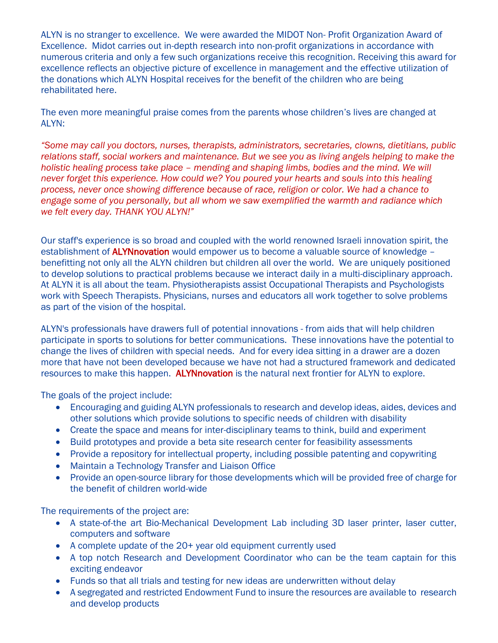ALYN is no stranger to excellence. We were awarded the MIDOT Non- Profit Organization Award of Excellence. Midot carries out in-depth research into non-profit organizations in accordance with numerous criteria and only a few such organizations receive this recognition. Receiving this award for excellence reflects an objective picture of excellence in management and the effective utilization of the donations which ALYN Hospital receives for the benefit of the children who are being rehabilitated here.

The even more meaningful praise comes from the parents whose children's lives are changed at ALYN:

*"Some may call you doctors, nurses, therapists, administrators, secretaries, clowns, dietitians, public relations staff, social workers and maintenance. But we see you as living angels helping to make the holistic healing process take place – mending and shaping limbs, bodies and the mind. We will never forget this experience. How could we? You poured your hearts and souls into this healing process, never once showing difference because of race, religion or color. We had a chance to engage some of you personally, but all whom we saw exemplified the warmth and radiance which we felt every day. THANK YOU ALYN!"*

Our staff's experience is so broad and coupled with the world renowned Israeli innovation spirit, the establishment of **ALYNnovation** would empower us to become a valuable source of knowledge – benefitting not only all the ALYN children but children all over the world. We are uniquely positioned to develop solutions to practical problems because we interact daily in a multi-disciplinary approach. At ALYN it is all about the team. Physiotherapists assist Occupational Therapists and Psychologists work with Speech Therapists. Physicians, nurses and educators all work together to solve problems as part of the vision of the hospital.

ALYN's professionals have drawers full of potential innovations - from aids that will help children participate in sports to solutions for better communications. These innovations have the potential to change the lives of children with special needs. And for every idea sitting in a drawer are a dozen more that have not been developed because we have not had a structured framework and dedicated resources to make this happen. ALYNnovation is the natural next frontier for ALYN to explore.

The goals of the project include:

- Encouraging and guiding ALYN professionals to research and develop ideas, aides, devices and other solutions which provide solutions to specific needs of children with disability
- Create the space and means for inter-disciplinary teams to think, build and experiment
- Build prototypes and provide a beta site research center for feasibility assessments
- Provide a repository for intellectual property, including possible patenting and copywriting
- Maintain a Technology Transfer and Liaison Office
- Provide an open-source library for those developments which will be provided free of charge for the benefit of children world-wide

The requirements of the project are:

- A state-of-the art Bio-Mechanical Development Lab including 3D laser printer, laser cutter, computers and software
- A complete update of the 20+ year old equipment currently used
- A top notch Research and Development Coordinator who can be the team captain for this exciting endeavor
- Funds so that all trials and testing for new ideas are underwritten without delay
- A segregated and restricted Endowment Fund to insure the resources are available to research and develop products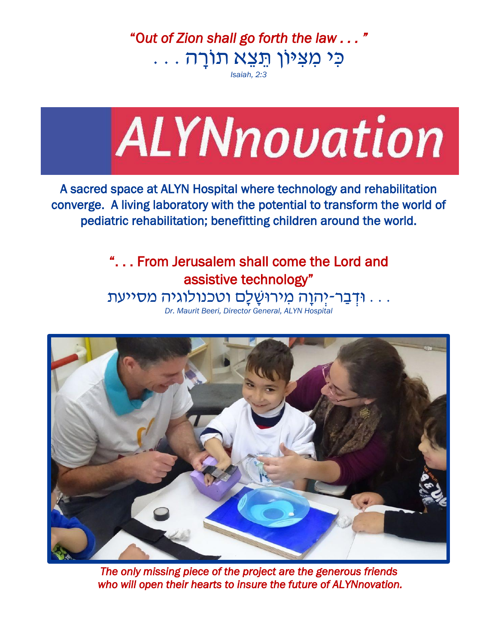"O*ut of Zion shall go forth the law . . . "* כִּ י מִּ צִּ ּיוֹן תֵּ צֵּ א תוֹרָ ה . . .

*Isaiah, 2:3*



A sacred space at ALYN Hospital where technology and rehabilitation converge. A living laboratory with the potential to transform the world of pediatric rehabilitation; benefitting children around the world.

> ". . . From Jerusalem shall come the Lord and assistive technology" . . . ּודְ בַ ר-יְהוָ ה מִּ ירּושָ לִָּ ם וטכנולוגיה מסייעת

*Dr. Maurit Beeri, Director General, ALYN Hospital*



*The only missing piece of the project are the generous friends who will open their hearts to insure the future of ALYNnovation.*